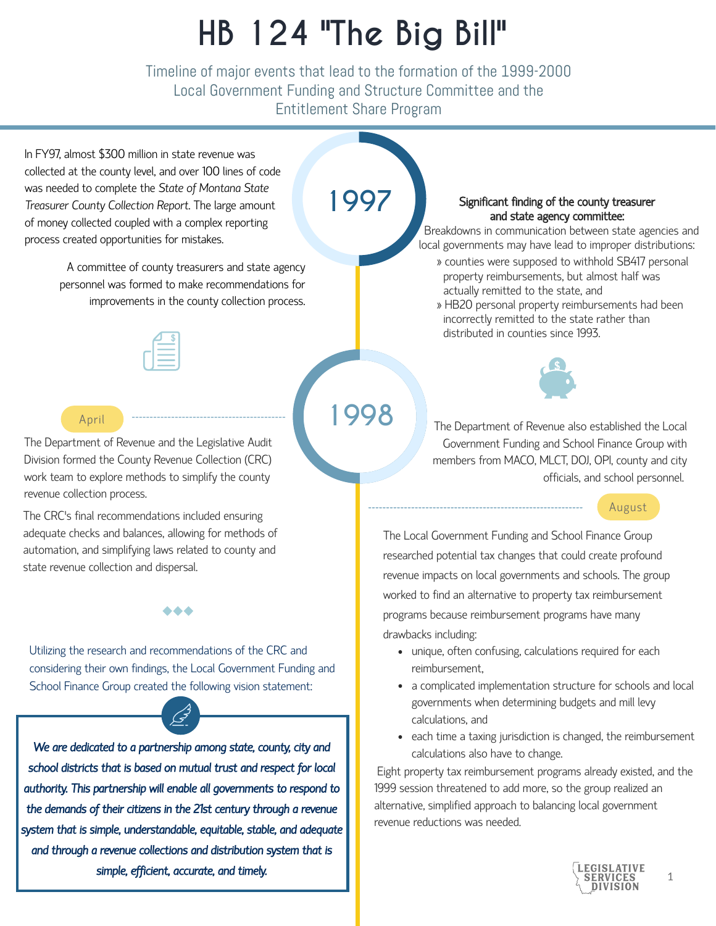# **HB 124 "The Big Bill"**

Timeline of major events that lead to the formation of the 1999-2000 Local Government Funding and Structure Committee and the Entitlement Share Program

In FY97, almost \$300 million in state revenue was collected at the county level, and over 100 lines of code was needed to complete the *State of Montana State Treasurer County Collection Report*. The large amount of money collected coupled with a complex reporting process created opportunities for mistakes.

> A committee of county treasurers and state agency personnel was formed to make recommendations for improvements in the county collection process.



## **1997**

#### Significant finding of the county treasurer and state agency committee:

Breakdowns in communication between state agencies and local governments may have lead to improper distributions:

- » counties were supposed to withhold SB417 personal property reimbursements, but almost half was actually remitted to the state, and
- » HB20 personal property reimbursements had been incorrectly remitted to the state rather than distributed in counties since 1993.



#### April

The Department of Revenue and the Legislative Audit Division formed the County Revenue Collection (CRC) work team to explore methods to simplify the county revenue collection process.

The CRC's final recommendations included ensuring adequate checks and balances, allowing for methods of automation, and simplifying laws related to county and state revenue collection and dispersal.

#### ...

Utilizing the research and recommendations of the CRC and considering their own findings, the Local Government Funding and School Finance Group created the following vision statement:

*We are dedicated to a partnership among state, county, city and school districts that is based on mutual trust and respect for local authority. This partnership will enable all governments to respond to the demands of their citizens in the 21st century through a revenue system that is simple, understandable, equitable, stable, and adequate and through a revenue collections and distribution system that is simple, efficient, accurate, and timely.*

**1998**

The Department of Revenue also established the Local Government Funding and School Finance Group with members from MACO, MLCT, DOJ, OPI, county and city officials, and school personnel.

#### August

The Local Government Funding and School Finance Group researched potential tax changes that could create profound revenue impacts on local governments and schools. The group worked to find an alternative to property tax reimbursement programs because reimbursement programs have many drawbacks including:

- unique, often confusing, calculations required for each reimbursement,
- a complicated implementation structure for schools and local governments when determining budgets and mill levy calculations, and
- each time a taxing jurisdiction is changed, the reimbursement calculations also have to change.

 Eight property tax reimbursement programs already existed, and the 1999 session threatened to add more, so the group realized an alternative, simplified approach to balancing local government revenue reductions was needed.



1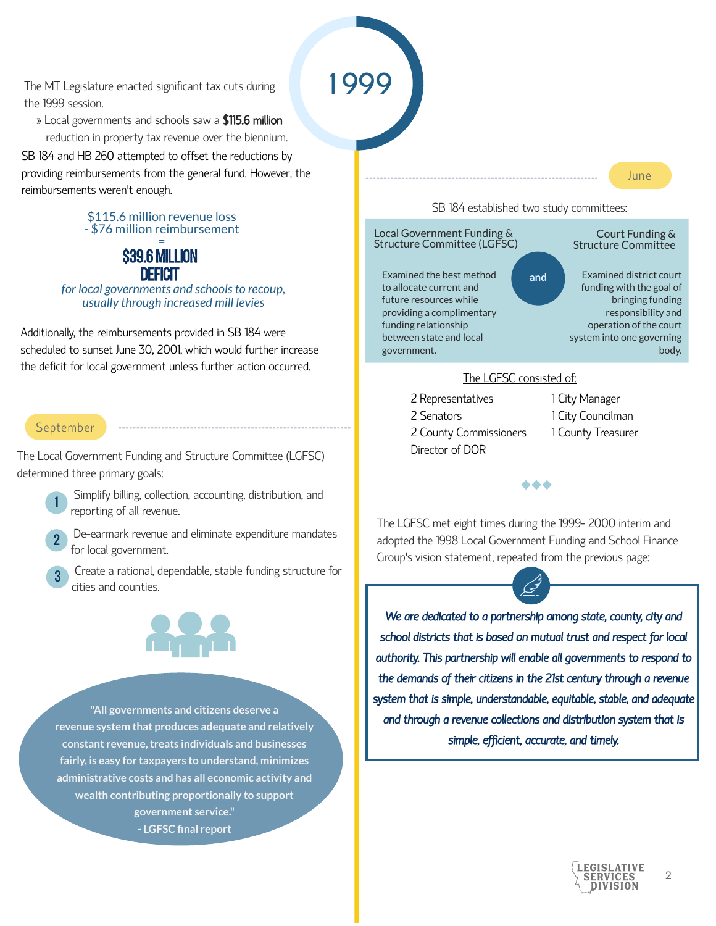The MT Legislature enacted significant tax cuts during the 1999 session.

 » Local governments and schools saw a \$115.6 million reduction in property tax revenue over the biennium.

SB 184 and HB 260 attempted to offset the reductions by providing reimbursements from the general fund. However, the reimbursements weren't enough.

#### \$115.6 million revenue loss - \$76 million reimbursement

#### \$39.6 million deficit =

*for local governments and schools to recoup, usually through increased mill levies*

Additionally, the reimbursements provided in SB 184 were scheduled to sunset June 30, 2001, which would further increase the deficit for local government unless further action occurred.

#### September

The Local Government Funding and Structure Committee (LGFSC) determined three primary goals:



2

3

Simplify billing, collection, accounting, distribution, and reporting of all revenue.

De-earmark revenue and eliminate expenditure mandates for local government.

Create a rational, dependable, stable funding structure for cities and counties.



**"All governments and citizens deserve a revenue system that produces adequate and relatively constant revenue, treats individuals and businesses fairly, is easy for taxpayers to understand, minimizes administrative costs and has all economic activity and wealth contributing proportionally to support government service." - LGFSC final report**

**1999**

SB 184 established two study committees:

June



2 Representatives 2 Senators 2 County Commissioners Director of DOR

1 City Manager 1 City Councilman 1 County Treasurer

The LGFSC met eight times during the 1999- 2000 interim and adopted the 1998 Local Government Funding and School Finance Group's vision statement, repeated from the previous page:

 $\bullet\bullet\bullet$ 

*We are dedicated to a partnership among state, county, city and school districts that is based on mutual trust and respect for local authority. This partnership will enable all governments to respond to the demands of their citizens in the 21st century through a revenue system that is simple, understandable, equitable, stable, and adequate and through a revenue collections and distribution system that is simple, efficient, accurate, and timely.*

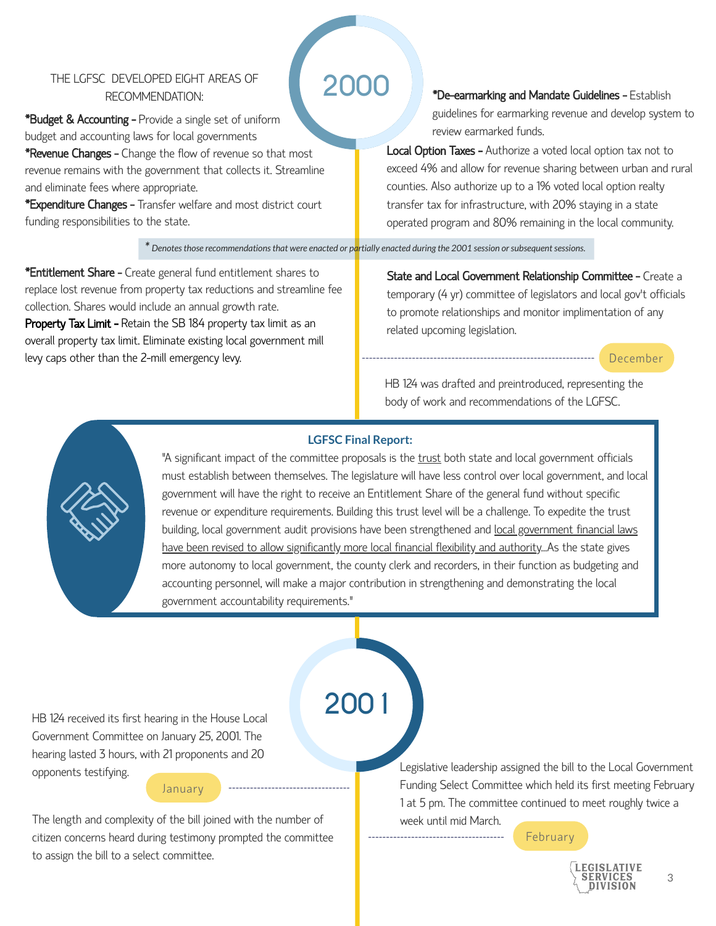#### THE LGFSC DEVELOPED EIGHT AREAS OF RECOMMENDATION:

**\*Budget & Accounting - Provide a single set of uniform** budget and accounting laws for local governments **\*Revenue Changes -** Change the flow of revenue so that most revenue remains with the government that collects it. Streamline and eliminate fees where appropriate.

\*Expenditure Changes - Transfer welfare and most district court funding responsibilities to the state.

### **2000**

\*De-earmarking and Mandate Guidelines - Establish guidelines for earmarking revenue and develop system to review earmarked funds.

**Local Option Taxes -** Authorize a voted local option tax not to exceed 4% and allow for revenue sharing between urban and rural counties. Also authorize up to a 1% voted local option realty transfer tax for infrastructure, with 20% staying in a state operated program and 80% remaining in the local community.

*\* Denotes those recommendations that were enacted or partially enacted during the 2001 session or subsequent sessions.*

\*Entitlement Share - Create general fund entitlement shares to replace lost revenue from property tax reductions and streamline fee collection. Shares would include an annual growth rate. **Property Tax Limit - Retain the SB 184 property tax limit as an** overall property tax limit. Eliminate existing local government mill levy caps other than the 2-mill emergency levy.

State and Local Government Relationship Committee - Create a temporary (4 yr) committee of legislators and local gov't officials to promote relationships and monitor implimentation of any related upcoming legislation.

#### December

HB 124 was drafted and preintroduced, representing the body of work and recommendations of the LGFSC.





"A significant impact of the committee proposals is the trust both state and local government officials must establish between themselves. The legislature will have less control over local government, and local government will have the right to receive an Entitlement Share of the general fund without specific revenue or expenditure requirements. Building this trust level will be a challenge. To expedite the trust building, local government audit provisions have been strengthened and local government financial laws have been revised to allow significantly more local financial flexibility and authority...As the state gives more autonomy to local government, the county clerk and recorders, in their function as budgeting and accounting personnel, will make a major contribution in strengthening and demonstrating the local government accountability requirements."

HB 124 received its first hearing in the House Local **2001** Government Committee on January 25, 2001. The hearing lasted 3 hours, with 21 proponents and 20 opponents testifying. January

The length and complexity of the bill joined with the number of citizen concerns heard during testimony prompted the committee to assign the bill to a select committee.

Legislative leadership assigned the bill to the Local Government Funding Select Committee which held its first meeting February 1 at 5 pm. The committee continued to meet roughly twice a week until mid March.

February